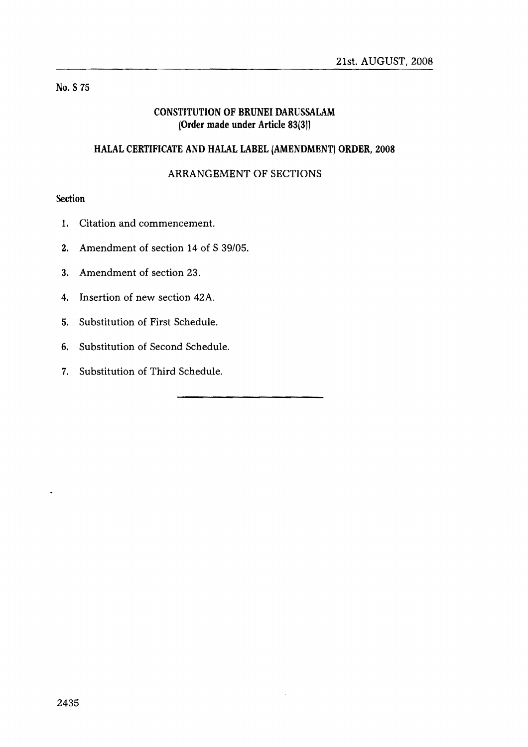# No. S 75

# CONSTITUTION OF BRUNEI DARUSSALAM (Order made under Article 83(3))

# HALAL CERTIFICATE AND HALAL LABEL (AMENDMENT) ORDER, 2008

# ARRANGEMENT OF SECTIONS

### **Section**

- 1. Citation and commencement.
- 2. Amendment of section 14 of S 39/05.
- 3. Amendment of section 23.
- 4. Insertion of new section 42A.
- 5. Substitution of First Schedule.
- 6. Substitution of Second Schedule.
- 7. Substitution of Third Schedule.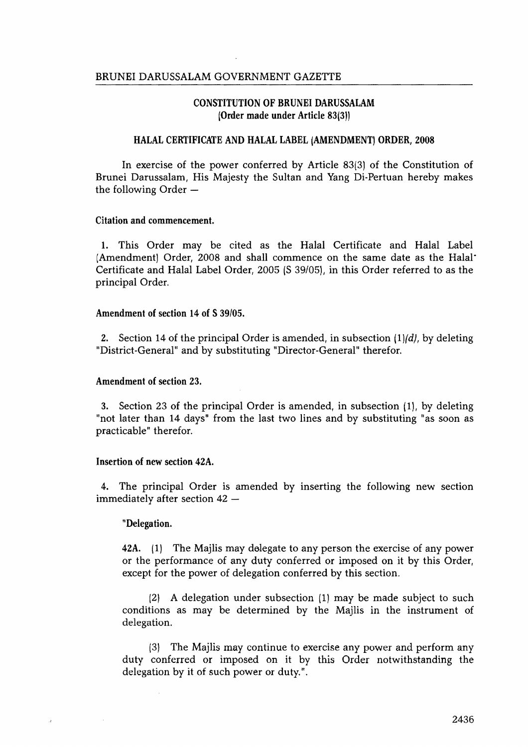#### CONSTITUTION OF BRUNEI DARUSSALAM !Order made under Article 8313))

#### HALAL CERTIFICATE AND HALAL LABEL (AMENDMENT) ORDER, 2008

In exercise of the power conferred by Article 83(3) of the Constitution of Brunei Darussalam, His Majesty the Sultan and Yang Di-Pertuan hereby makes the following Order  $-$ 

#### Citation and commencement.

1. This Order may be cited as the Halal Certificate and Halal Label (Amendment) Order, 2008 and shall commence on the same date as the Halal· Certificate and Halal Label Order, 2005 (S 39/05), in this Order referred to as the principal Order.

#### Amendment of section 14 of S 39/05.

2. Section 14 of the principal Order is amended, in subsection *ll!(d},* by deleting "District-General" and by substituting "Director-General" therefor.

#### Amendment of section 23.

3. Section 23 of the principal Order is amended, in subsection 11), by deleting "not later than 14 days" from the last two lines and by substituting "as soon as practicable" therefor.

#### Insertion of new section 42A.

4. The principal Order is amended by inserting the following new section immediately after section  $42 -$ 

#### "Delegation.

42A. (1) The Majlis may delegate to any person the exercise of any power or the performance of any duty conferred or imposed on it by this Order, except for the power of delegation conferred by this section.

(2) A delegation under subsection (1) may be made subject to such conditions as may be determined by the Majlis in the instrument of delegation.

(3) The Majlis may continue to exercise any power and perform any duty conferred or imposed on it by this Order notwithstanding the delegation by it of such power or duty.".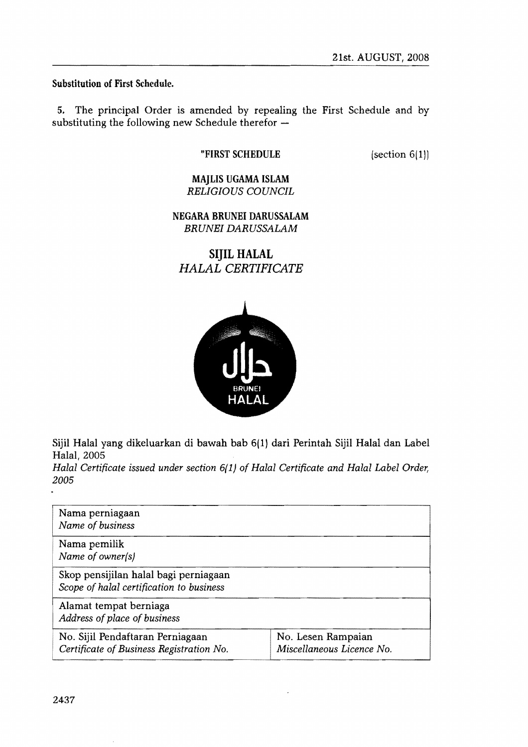Substitution of First Schedule.

5. The principal Order is amended by repealing the First Schedule and by substituting the following new Schedule therefor  $-$ 

### "FIRST SCHEDULE

(section 6(1))

# MAJLIS UGAMA ISLAM *RELIGIOUS COUNCIL*

NEGARA BRUNEI DARUSSALAM *BRUNEI DARUSSALAM* 

# **SIJIL HALAL**  *HALAL CERTIFICATE*



Sijil Halal yang dikeluarkan di bawah bab 6(1) dari Perintah Sijil Halal dan Label Halal, 2005

*Halal Certificate issued under section 6{ 1) of Halal Certificate and Halal Label Order, 2005* 

| Nama perniagaan<br>Name of business                                               |                                                 |
|-----------------------------------------------------------------------------------|-------------------------------------------------|
| Nama pemilik<br>Name of owner(s)                                                  |                                                 |
| Skop pensijilan halal bagi perniagaan<br>Scope of halal certification to business |                                                 |
| Alamat tempat berniaga<br>Address of place of business                            |                                                 |
| No. Sijil Pendaftaran Perniagaan<br>Certificate of Business Registration No.      | No. Lesen Rampaian<br>Miscellaneous Licence No. |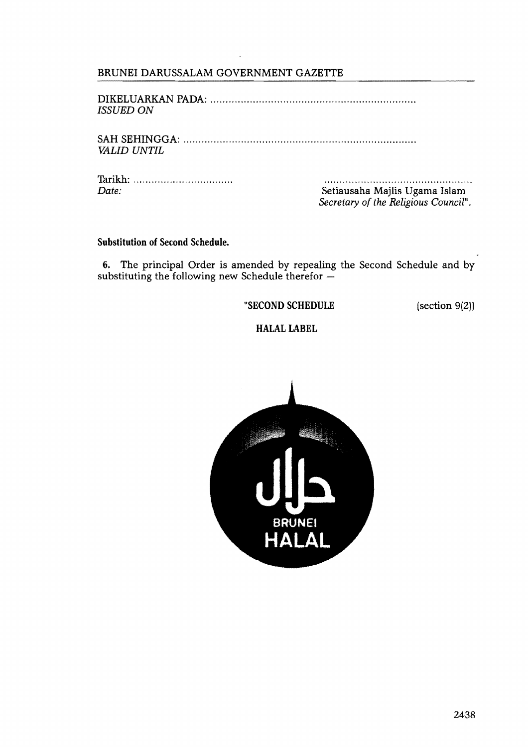# BRUNEI DARUSSALAM GOVERNMENT GAZETTE

DIKELUARKAN PADA: ................................................................... . *ISSUED ON* 

SAH SEHINGGA: ........................................................................... .. *VALID UNTIL* 

Thrikh: ............................... ..

Setiausaha Majlis Ugama Islam *Secretary of the Religious Council".* 

#### Substitution of Second Schedule.

6. The principal Order is amended by repealing the Second Schedule and by substituting the following new Schedule therefor -

"SECOND SCHEDULE (section 9(2))

# **HALAL LABEL**

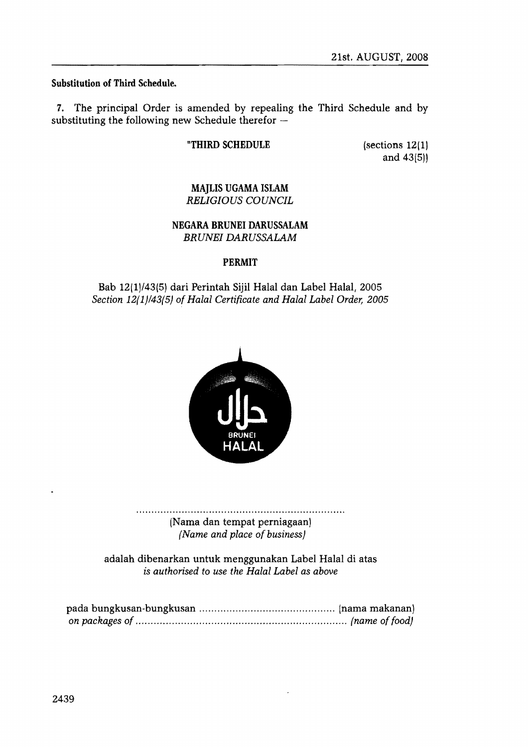### Substitution of Third Schedule.

7. The principal Order is amended by repealing the Third Schedule and by substituting the following new Schedule therefor  $-$ 

### "THIRD SCHEDULE

(sections 12(1) and 43(5))

### MAJLIS UGAMA ISLAM *RELIGIOUS COUNCIL*

### NEGARA BRUNEI DARUSSALAM *BRUNEI DARUSSALAM*

### PERMIT

# Bah 12(1)/43(5) dari Perintah Sijil Halal dan Label Halal, 2005 *Section 12(1)/43(5) of Halal Certificate and Halal Label Order; 2005*



(Nama dan tempat perniagaan) *(Name and place of business)* 

adalah dibenarkan untuk menggunakan Label Halal di atas *is authorised to use the Halal Label as above*